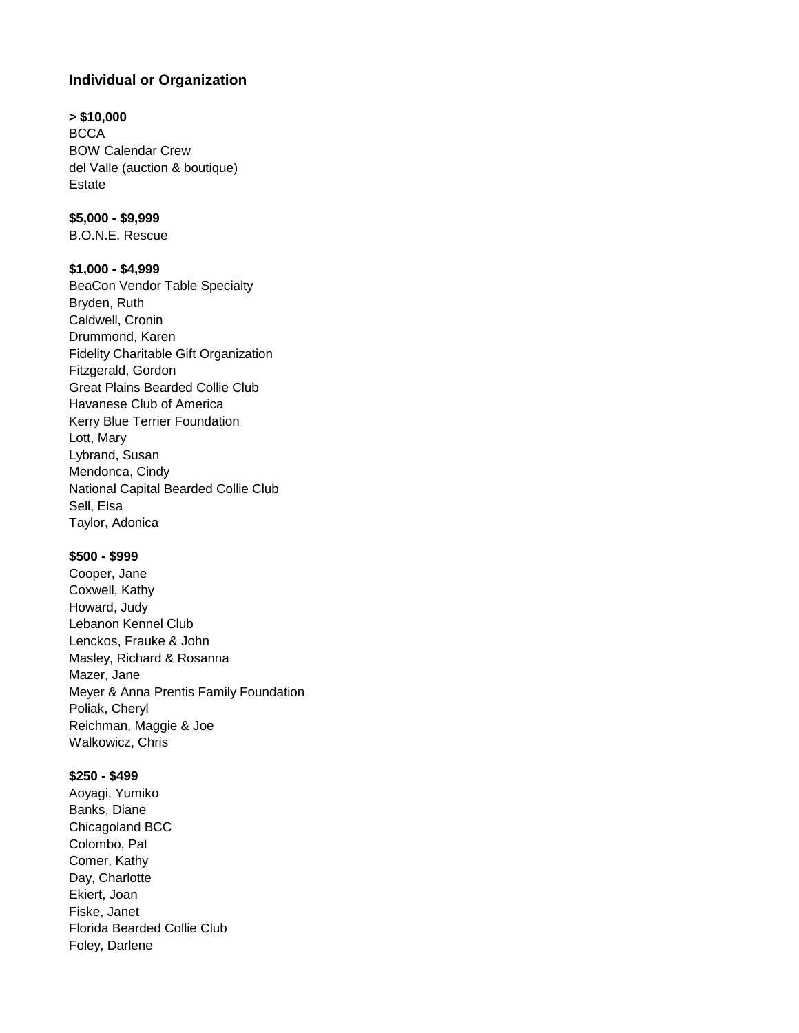# **Individual or Organization**

#### **> \$10,000**

**BCCA** BOW Calendar Crew del Valle (auction & boutique) Estate

# **\$5,000 - \$9,999**

B.O.N.E. Rescue

### **\$1,000 - \$4,999**

BeaCon Vendor Table Specialty Bryden, Ruth Caldwell, Cronin Drummond, Karen Fidelity Charitable Gift Organization Fitzgerald, Gordon Great Plains Bearded Collie Club Havanese Club of America Kerry Blue Terrier Foundation Lott, Mary Lybrand, Susan Mendonca, Cindy National Capital Bearded Collie Club Sell, Elsa Taylor, Adonica

### **\$500 - \$999**

Cooper, Jane Coxwell, Kathy Howard, Judy Lebanon Kennel Club Lenckos, Frauke & John Masley, Richard & Rosanna Mazer, Jane Meyer & Anna Prentis Family Foundation Poliak, Cheryl Reichman, Maggie & Joe Walkowicz, Chris

# **\$250 - \$499**

Aoyagi, Yumiko Banks, Diane Chicagoland BCC Colombo, Pat Comer, Kathy Day, Charlotte Ekiert, Joan Fiske, Janet Florida Bearded Collie Club Foley, Darlene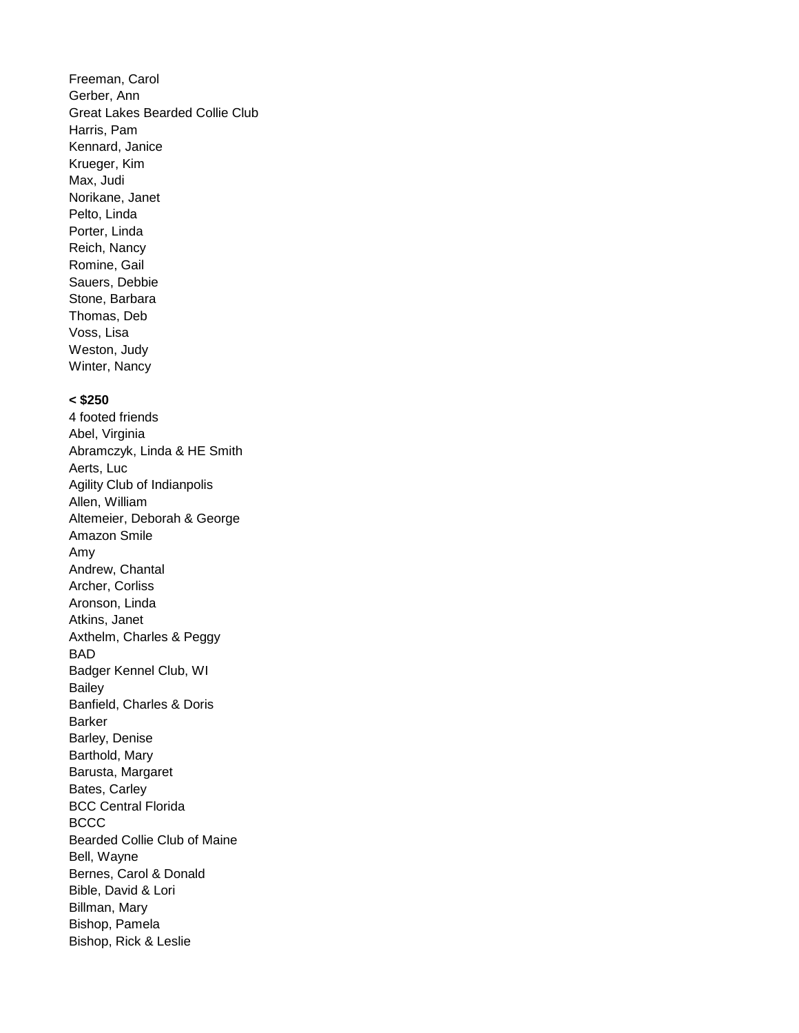Freeman, Carol Gerber, Ann Great Lakes Bearded Collie Club Harris, Pam Kennard, Janice Krueger, Kim Max, Judi Norikane, Janet Pelto, Linda Porter, Linda Reich, Nancy Romine, Gail Sauers, Debbie Stone, Barbara Thomas, Deb Voss, Lisa Weston, Judy Winter, Nancy

#### **< \$250**

4 footed friends Abel, Virginia Abramczyk, Linda & HE Smith Aerts, Luc Agility Club of Indianpolis Allen, William Altemeier, Deborah & George Amazon Smile Amy Andrew, Chantal Archer, Corliss Aronson, Linda Atkins, Janet Axthelm, Charles & Peggy BAD Badger Kennel Club, WI Bailey Banfield, Charles & Doris Barker Barley, Denise Barthold, Mary Barusta, Margaret Bates, Carley BCC Central Florida **BCCC** Bearded Collie Club of Maine Bell, Wayne Bernes, Carol & Donald Bible, David & Lori Billman, Mary Bishop, Pamela Bishop, Rick & Leslie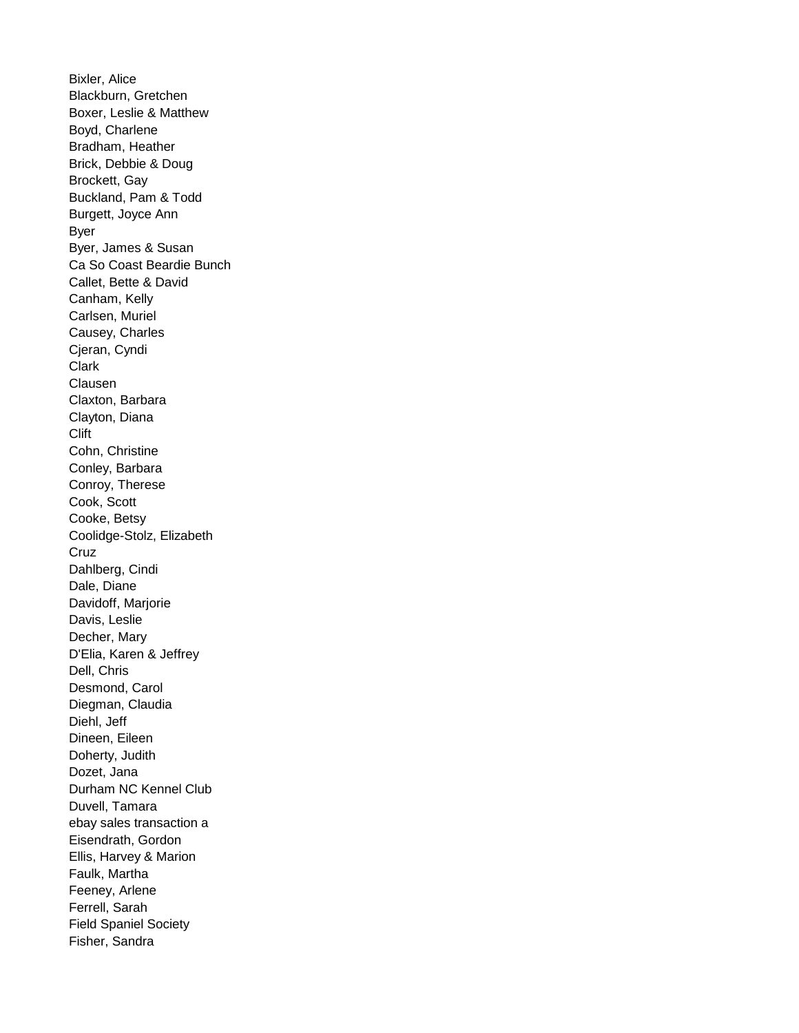Bixler, Alice Blackburn, Gretchen Boxer, Leslie & Matthew Boyd, Charlene Bradham, Heather Brick, Debbie & Doug Brockett, Gay Buckland, Pam & Todd Burgett, Joyce Ann Byer Byer, James & Susan Ca So Coast Beardie Bunch Callet, Bette & David Canham, Kelly Carlsen, Muriel Causey, Charles Cjeran, Cyndi Clark **Clausen** Claxton, Barbara Clayton, Diana Clift Cohn, Christine Conley, Barbara Conroy, Therese Cook, Scott Cooke, Betsy Coolidge-Stolz, Elizabeth **Cruz** Dahlberg, Cindi Dale, Diane Davidoff, Marjorie Davis, Leslie Decher, Mary D'Elia, Karen & Jeffrey Dell, Chris Desmond, Carol Diegman, Claudia Diehl, Jeff Dineen, Eileen Doherty, Judith Dozet, Jana Durham NC Kennel Club Duvell, Tamara ebay sales transaction a Eisendrath, Gordon Ellis, Harvey & Marion Faulk, Martha Feeney, Arlene Ferrell, Sarah Field Spaniel Society Fisher, Sandra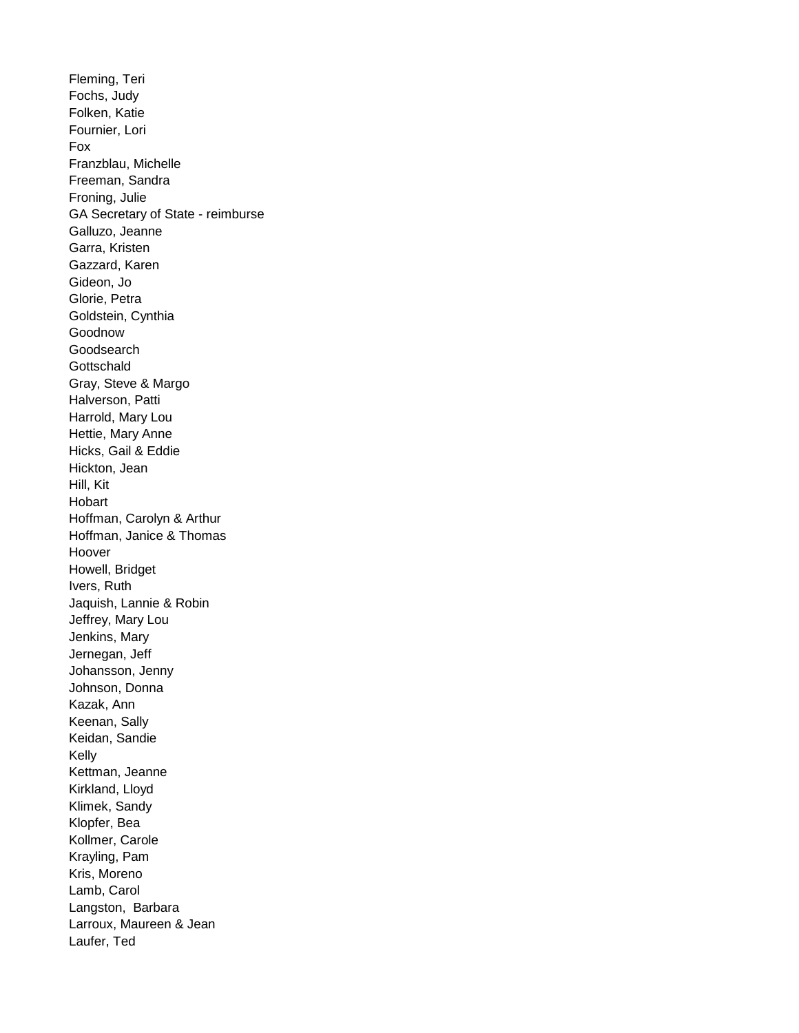Fleming, Teri Fochs, Judy Folken, Katie Fournier, Lori Fox Franzblau, Michelle Freeman, Sandra Froning, Julie GA Secretary of State - reimburse Galluzo, Jeanne Garra, Kristen Gazzard, Karen Gideon, Jo Glorie, Petra Goldstein, Cynthia Goodnow **Goodsearch Gottschald** Gray, Steve & Margo Halverson, Patti Harrold, Mary Lou Hettie, Mary Anne Hicks, Gail & Eddie Hickton, Jean Hill, Kit Hobart Hoffman, Carolyn & Arthur Hoffman, Janice & Thomas Hoover Howell, Bridget Ivers, Ruth Jaquish, Lannie & Robin Jeffrey, Mary Lou Jenkins, Mary Jernegan, Jeff Johansson, Jenny Johnson, Donna Kazak, Ann Keenan, Sally Keidan, Sandie Kelly Kettman, Jeanne Kirkland, Lloyd Klimek, Sandy Klopfer, Bea Kollmer, Carole Krayling, Pam Kris, Moreno Lamb, Carol Langston, Barbara Larroux, Maureen & Jean Laufer, Ted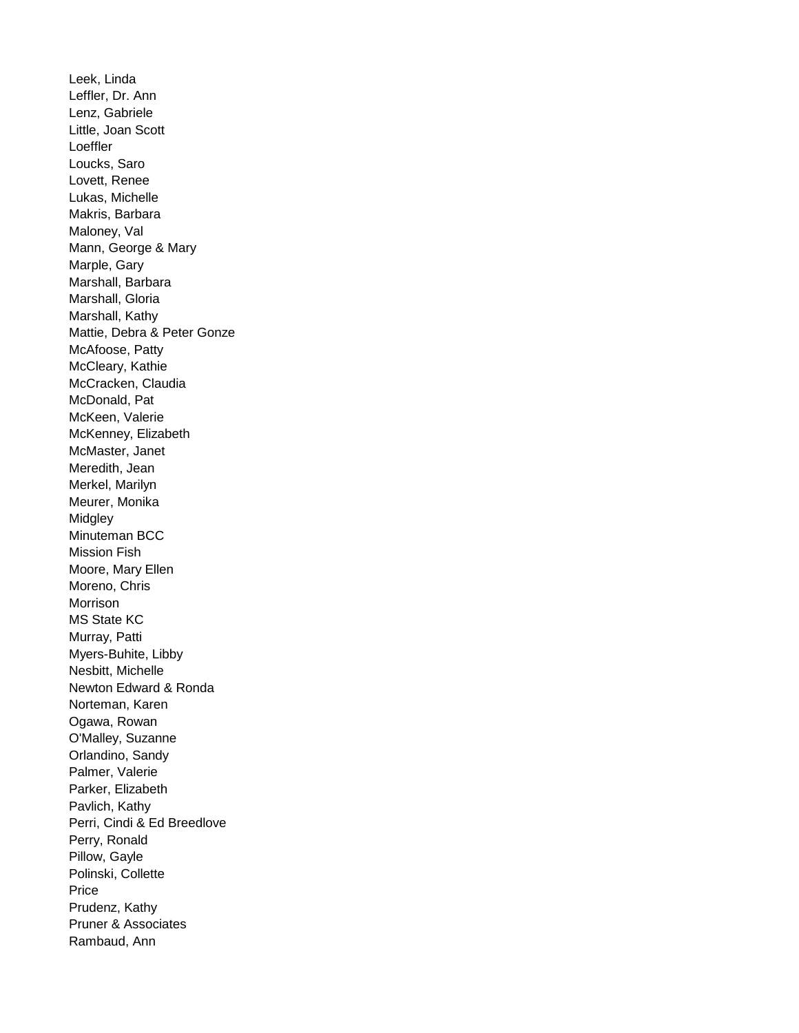Leek, Linda Leffler, Dr. Ann Lenz, Gabriele Little, Joan Scott Loeffler Loucks, Saro Lovett, Renee Lukas, Michelle Makris, Barbara Maloney, Val Mann, George & Mary Marple, Gary Marshall, Barbara Marshall, Gloria Marshall, Kathy Mattie, Debra & Peter Gonze McAfoose, Patty McCleary, Kathie McCracken, Claudia McDonald, Pat McKeen, Valerie McKenney, Elizabeth McMaster, Janet Meredith, Jean Merkel, Marilyn Meurer, Monika **Midgley** Minuteman BCC Mission Fish Moore, Mary Ellen Moreno, Chris Morrison MS State KC Murray, Patti Myers-Buhite, Libby Nesbitt, Michelle Newton Edward & Ronda Norteman, Karen Ogawa, Rowan O'Malley, Suzanne Orlandino, Sandy Palmer, Valerie Parker, Elizabeth Pavlich, Kathy Perri, Cindi & Ed Breedlove Perry, Ronald Pillow, Gayle Polinski, Collette Price Prudenz, Kathy Pruner & Associates Rambaud, Ann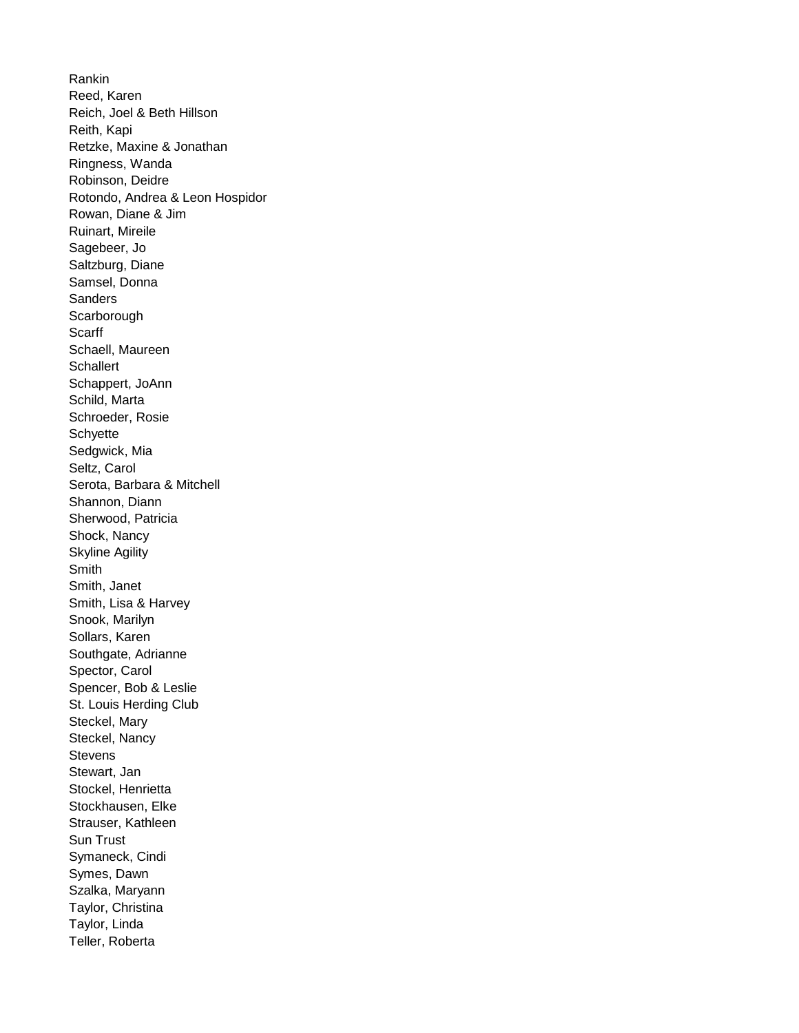Rankin Reed, Karen Reich, Joel & Beth Hillson Reith, Kapi Retzke, Maxine & Jonathan Ringness, Wanda Robinson, Deidre Rotondo, Andrea & Leon Hospidor Rowan, Diane & Jim Ruinart, Mireile Sagebeer, Jo Saltzburg, Diane Samsel, Donna **Sanders Scarborough Scarff** Schaell, Maureen **Schallert** Schappert, JoAnn Schild, Marta Schroeder, Rosie **Schyette** Sedgwick, Mia Seltz, Carol Serota, Barbara & Mitchell Shannon, Diann Sherwood, Patricia Shock, Nancy Skyline Agility Smith Smith, Janet Smith, Lisa & Harvey Snook, Marilyn Sollars, Karen Southgate, Adrianne Spector, Carol Spencer, Bob & Leslie St. Louis Herding Club Steckel, Mary Steckel, Nancy **Stevens** Stewart, Jan Stockel, Henrietta Stockhausen, Elke Strauser, Kathleen Sun Trust Symaneck, Cindi Symes, Dawn Szalka, Maryann Taylor, Christina Taylor, Linda Teller, Roberta